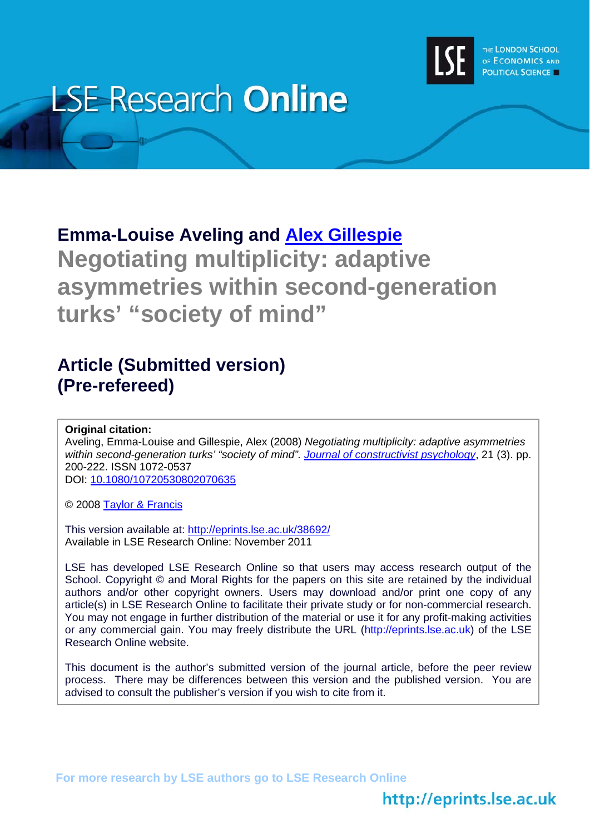

# **LSE Research Online**

# **Emma-Louise Aveling and [Alex Gillespie](http://www2.lse.ac.uk/researchAndExpertise/Experts/profile.aspx?KeyValue=a.t.gillespie@lse.ac.uk) Negotiating multiplicity: adaptive asymmetries within second-generation turks' "society of mind"**

## **Article (Submitted version) (Pre-refereed)**

#### **Original citation:**

Aveling, Emma-Louise and Gillespie, Alex (2008) *Negotiating multiplicity: adaptive asymmetries within second-generation turks' "society of mind". [Journal of constructivist psychology](http://www.tandf.co.uk/journals/tf/10720537.html)*, 21 (3). pp. 200-222. ISSN 1072-0537

DOI: [10.1080/10720530802070635](http://dx.doi.org/10.1080/10720530802070635)

© 2008 [Taylor & Francis](http://www.taylorandfrancisgroup.com/)

This version available at: <http://eprints.lse.ac.uk/38692/> Available in LSE Research Online: November 2011

LSE has developed LSE Research Online so that users may access research output of the School. Copyright © and Moral Rights for the papers on this site are retained by the individual authors and/or other copyright owners. Users may download and/or print one copy of any article(s) in LSE Research Online to facilitate their private study or for non-commercial research. You may not engage in further distribution of the material or use it for any profit-making activities or any commercial gain. You may freely distribute the URL (http://eprints.lse.ac.uk) of the LSE Research Online website.

This document is the author's submitted version of the journal article, before the peer review process. There may be differences between this version and the published version. You are advised to consult the publisher's version if you wish to cite from it.

**For more research by LSE authors go to [LSE Research Online](http://eprints.lse.ac.uk/)** 

## http://eprints.lse.ac.uk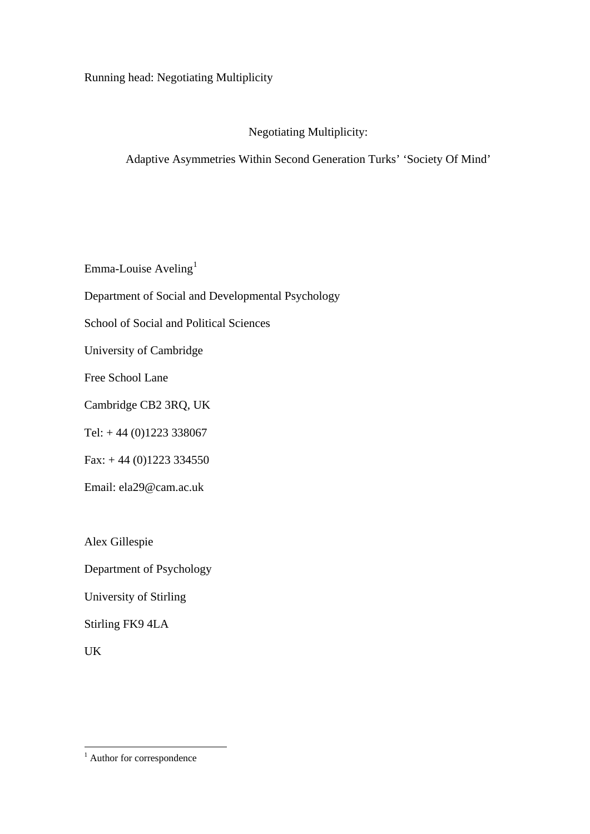Running head: Negotiating Multiplicity

#### Negotiating Multiplicity:

#### Adaptive Asymmetries Within Second Generation Turks' 'Society Of Mind'

Emma-Louise Aveling<sup>[1](#page-3-0)</sup>

Department of Social and Developmental Psychology

School of Social and Political Sciences

University of Cambridge

Free School Lane

Cambridge CB2 3RQ, UK

Tel:  $+44(0)1223338067$ 

Fax:  $+ 44 (0)1223 334550$ 

Email: ela29@cam.ac.uk

Alex Gillespie

Department of Psychology

University of Stirling

Stirling FK9 4LA

UK

<span id="page-1-0"></span><sup>&</sup>lt;sup>1</sup> Author for correspondence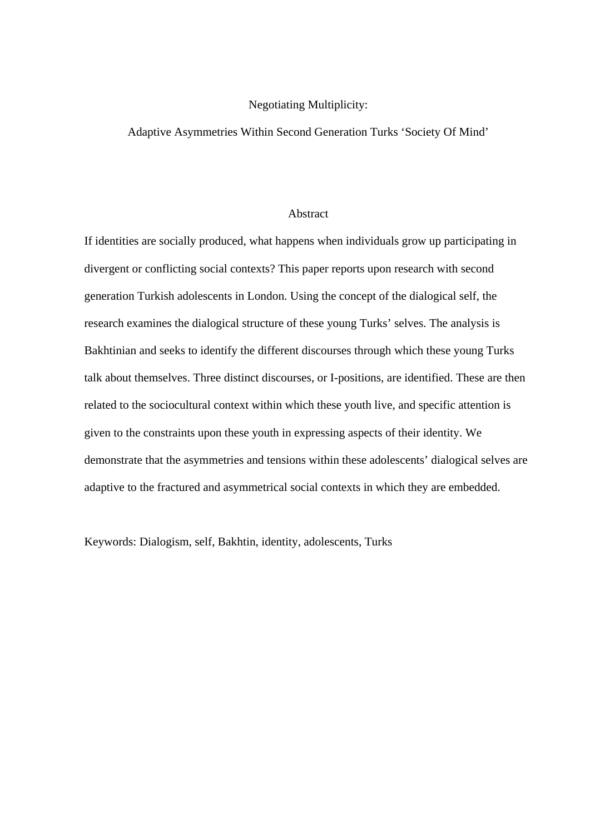#### Negotiating Multiplicity:

#### Adaptive Asymmetries Within Second Generation Turks 'Society Of Mind'

#### Abstract

If identities are socially produced, what happens when individuals grow up participating in divergent or conflicting social contexts? This paper reports upon research with second generation Turkish adolescents in London. Using the concept of the dialogical self, the research examines the dialogical structure of these young Turks' selves. The analysis is Bakhtinian and seeks to identify the different discourses through which these young Turks talk about themselves. Three distinct discourses, or I-positions, are identified. These are then related to the sociocultural context within which these youth live, and specific attention is given to the constraints upon these youth in expressing aspects of their identity. We demonstrate that the asymmetries and tensions within these adolescents' dialogical selves are adaptive to the fractured and asymmetrical social contexts in which they are embedded.

Keywords: Dialogism, self, Bakhtin, identity, adolescents, Turks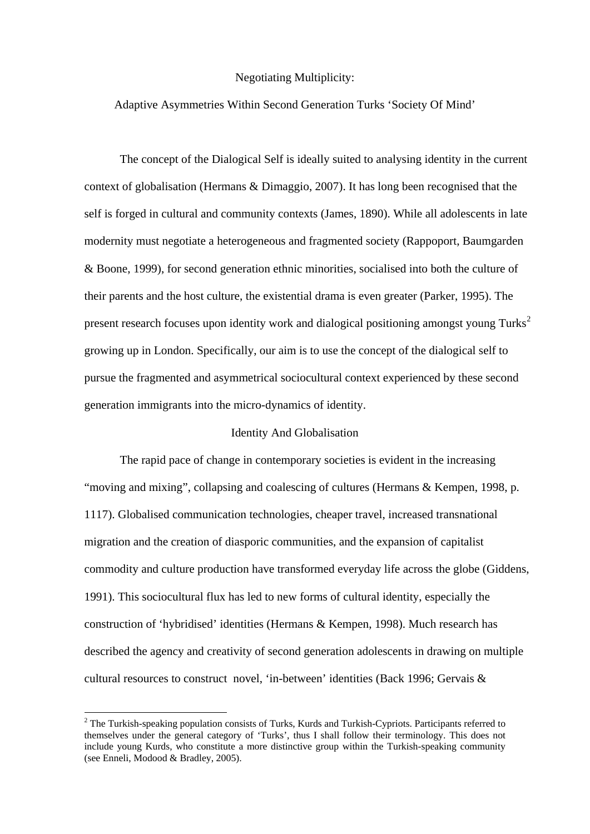#### Negotiating Multiplicity:

#### Adaptive Asymmetries Within Second Generation Turks 'Society Of Mind'

The concept of the Dialogical Self is ideally suited to analysing identity in the current context of globalisation (Hermans & Dimaggio, 2007). It has long been recognised that the self is forged in cultural and community contexts (James, 1890). While all adolescents in late modernity must negotiate a heterogeneous and fragmented society (Rappoport, Baumgarden & Boone, 1999), for second generation ethnic minorities, socialised into both the culture of their parents and the host culture, the existential drama is even greater (Parker, 1995). The present research focuses upon identity work and dialogical positioning amongst young Turks<sup>[2](#page-1-0)</sup> growing up in London. Specifically, our aim is to use the concept of the dialogical self to pursue the fragmented and asymmetrical sociocultural context experienced by these second generation immigrants into the micro-dynamics of identity.

#### Identity And Globalisation

The rapid pace of change in contemporary societies is evident in the increasing "moving and mixing", collapsing and coalescing of cultures (Hermans & Kempen, 1998, p. 1117). Globalised communication technologies, cheaper travel, increased transnational migration and the creation of diasporic communities, and the expansion of capitalist commodity and culture production have transformed everyday life across the globe (Giddens, 1991). This sociocultural flux has led to new forms of cultural identity, especially the construction of 'hybridised' identities (Hermans & Kempen, 1998). Much research has described the agency and creativity of second generation adolescents in drawing on multiple cultural resources to construct novel, 'in-between' identities (Back 1996; Gervais &

1

<span id="page-3-1"></span><span id="page-3-0"></span> $2$  The Turkish-speaking population consists of Turks, Kurds and Turkish-Cypriots. Participants referred to themselves under the general category of 'Turks', thus I shall follow their terminology. This does not include young Kurds, who constitute a more distinctive group within the Turkish-speaking community (see Enneli, Modood & Bradley, 2005).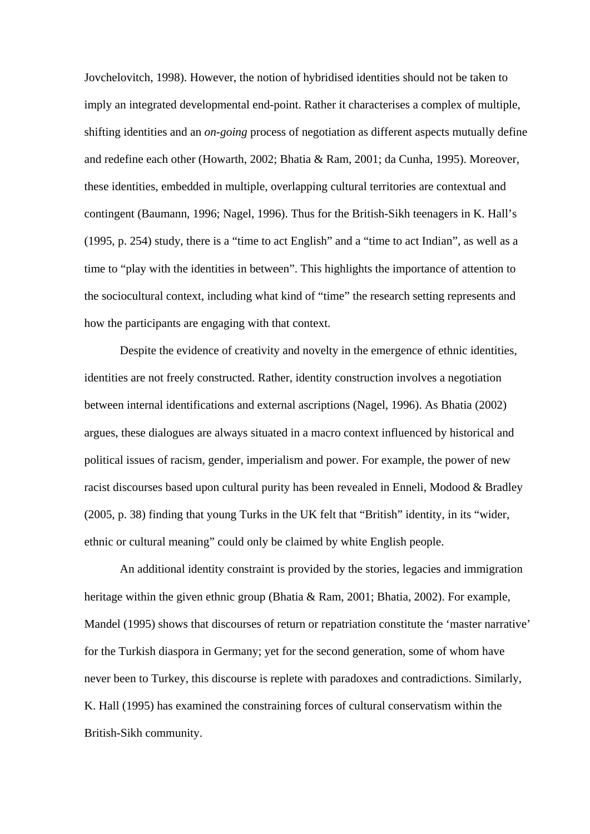Jovchelovitch, 1998). However, the notion of hybridised identities should not be taken to imply an integrated developmental end-point. Rather it characterises a complex of multiple, shifting identities and an *on-going* process of negotiation as different aspects mutually define and redefine each other (Howarth, 2002; Bhatia & Ram, 2001; da Cunha, 1995). Moreover, these identities, embedded in multiple, overlapping cultural territories are contextual and contingent (Baumann, 1996; Nagel, 1996). Thus for the British-Sikh teenagers in K. Hall's (1995, p. 254) study, there is a "time to act English" and a "time to act Indian", as well as a time to "play with the identities in between". This highlights the importance of attention to the sociocultural context, including what kind of "time" the research setting represents and how the participants are engaging with that context.

Despite the evidence of creativity and novelty in the emergence of ethnic identities, identities are not freely constructed. Rather, identity construction involves a negotiation between internal identifications and external ascriptions (Nagel, 1996). As Bhatia (2002) argues, these dialogues are always situated in a macro context influenced by historical and political issues of racism, gender, imperialism and power. For example, the power of new racist discourses based upon cultural purity has been revealed in Enneli, Modood & Bradley (2005, p. 38) finding that young Turks in the UK felt that "British" identity, in its "wider, ethnic or cultural meaning" could only be claimed by white English people.

An additional identity constraint is provided by the stories, legacies and immigration heritage within the given ethnic group (Bhatia & Ram, 2001; Bhatia, 2002). For example, Mandel (1995) shows that discourses of return or repatriation constitute the 'master narrative' for the Turkish diaspora in Germany; yet for the second generation, some of whom have never been to Turkey, this discourse is replete with paradoxes and contradictions. Similarly, K. Hall (1995) has examined the constraining forces of cultural conservatism within the British-Sikh community.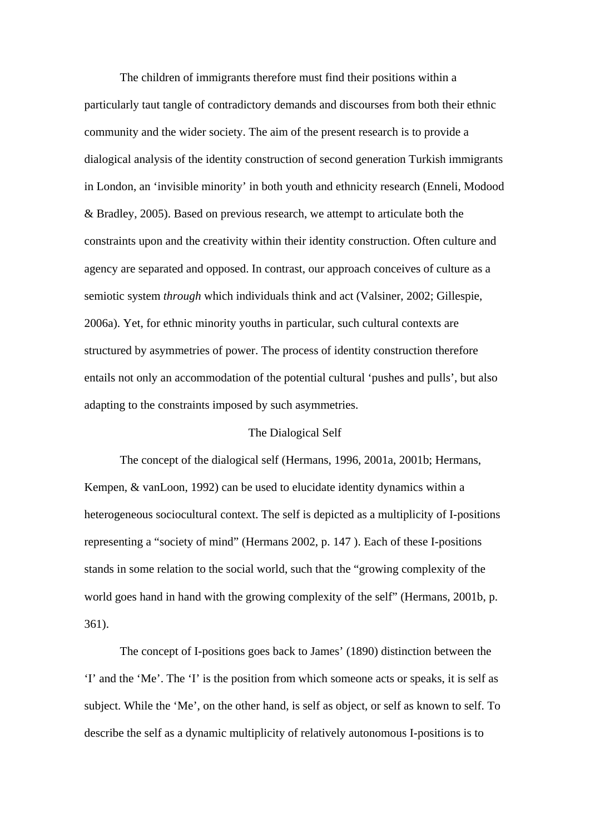The children of immigrants therefore must find their positions within a particularly taut tangle of contradictory demands and discourses from both their ethnic community and the wider society. The aim of the present research is to provide a dialogical analysis of the identity construction of second generation Turkish immigrants in London, an 'invisible minority' in both youth and ethnicity research (Enneli, Modood & Bradley, 2005). Based on previous research, we attempt to articulate both the constraints upon and the creativity within their identity construction. Often culture and agency are separated and opposed. In contrast, our approach conceives of culture as a semiotic system *through* which individuals think and act (Valsiner, 2002; Gillespie, 2006a). Yet, for ethnic minority youths in particular, such cultural contexts are structured by asymmetries of power. The process of identity construction therefore entails not only an accommodation of the potential cultural 'pushes and pulls', but also adapting to the constraints imposed by such asymmetries.

#### The Dialogical Self

The concept of the dialogical self (Hermans, 1996, 2001a, 2001b; Hermans, Kempen, & vanLoon, 1992) can be used to elucidate identity dynamics within a heterogeneous sociocultural context. The self is depicted as a multiplicity of I-positions representing a "society of mind" (Hermans 2002, p. 147 ). Each of these I-positions stands in some relation to the social world, such that the "growing complexity of the world goes hand in hand with the growing complexity of the self" (Hermans, 2001b, p. 361).

The concept of I-positions goes back to James' (1890) distinction between the 'I' and the 'Me'. The 'I' is the position from which someone acts or speaks, it is self as subject. While the 'Me', on the other hand, is self as object, or self as known to self. To describe the self as a dynamic multiplicity of relatively autonomous I-positions is to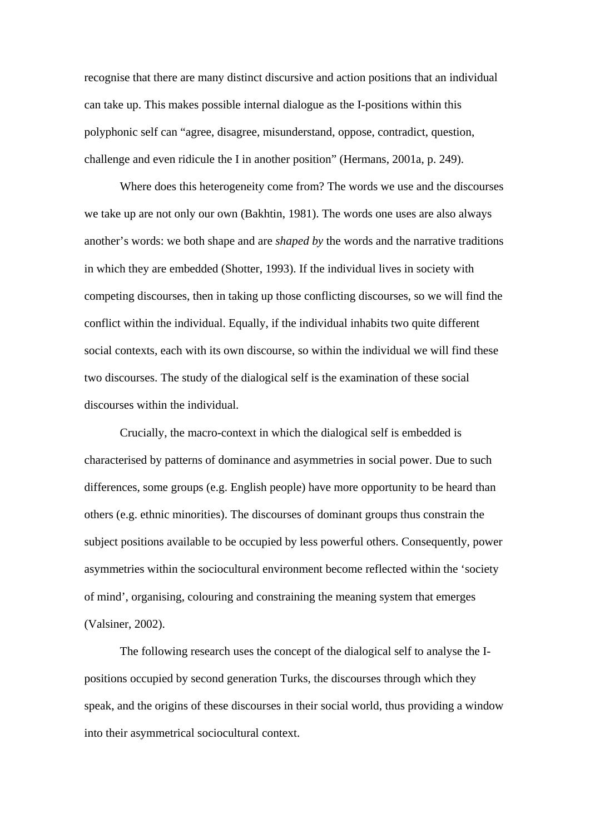recognise that there are many distinct discursive and action positions that an individual can take up. This makes possible internal dialogue as the I-positions within this polyphonic self can "agree, disagree, misunderstand, oppose, contradict, question, challenge and even ridicule the I in another position" (Hermans, 2001a, p. 249).

Where does this heterogeneity come from? The words we use and the discourses we take up are not only our own (Bakhtin, 1981). The words one uses are also always another's words: we both shape and are *shaped by* the words and the narrative traditions in which they are embedded (Shotter, 1993). If the individual lives in society with competing discourses, then in taking up those conflicting discourses, so we will find the conflict within the individual. Equally, if the individual inhabits two quite different social contexts, each with its own discourse, so within the individual we will find these two discourses. The study of the dialogical self is the examination of these social discourses within the individual.

Crucially, the macro-context in which the dialogical self is embedded is characterised by patterns of dominance and asymmetries in social power. Due to such differences, some groups (e.g. English people) have more opportunity to be heard than others (e.g. ethnic minorities). The discourses of dominant groups thus constrain the subject positions available to be occupied by less powerful others. Consequently, power asymmetries within the sociocultural environment become reflected within the 'society of mind', organising, colouring and constraining the meaning system that emerges (Valsiner, 2002).

The following research uses the concept of the dialogical self to analyse the Ipositions occupied by second generation Turks, the discourses through which they speak, and the origins of these discourses in their social world, thus providing a window into their asymmetrical sociocultural context.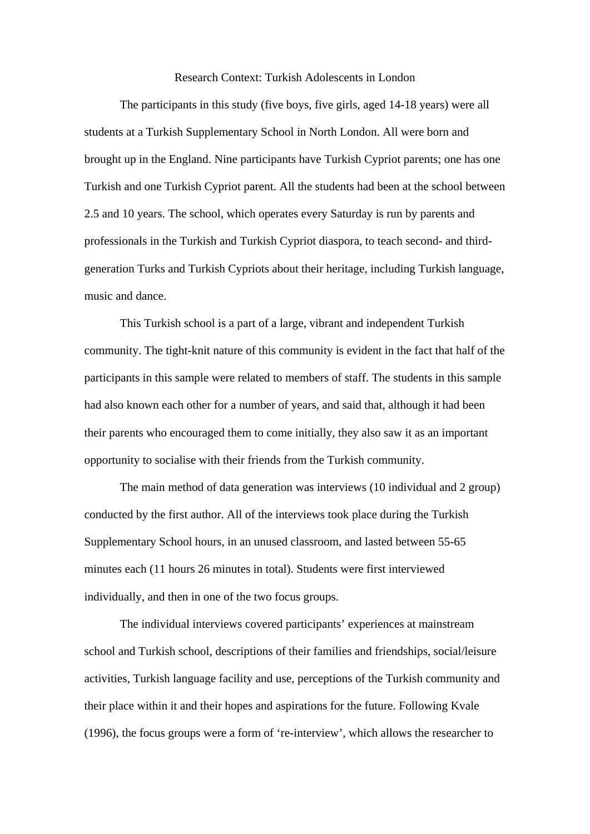#### Research Context: Turkish Adolescents in London

The participants in this study (five boys, five girls, aged 14-18 years) were all students at a Turkish Supplementary School in North London. All were born and brought up in the England. Nine participants have Turkish Cypriot parents; one has one Turkish and one Turkish Cypriot parent. All the students had been at the school between 2.5 and 10 years. The school, which operates every Saturday is run by parents and professionals in the Turkish and Turkish Cypriot diaspora, to teach second- and thirdgeneration Turks and Turkish Cypriots about their heritage, including Turkish language, music and dance.

This Turkish school is a part of a large, vibrant and independent Turkish community. The tight-knit nature of this community is evident in the fact that half of the participants in this sample were related to members of staff. The students in this sample had also known each other for a number of years, and said that, although it had been their parents who encouraged them to come initially, they also saw it as an important opportunity to socialise with their friends from the Turkish community.

The main method of data generation was interviews (10 individual and 2 group) conducted by the first author. All of the interviews took place during the Turkish Supplementary School hours, in an unused classroom, and lasted between 55-65 minutes each (11 hours 26 minutes in total). Students were first interviewed individually, and then in one of the two focus groups.

The individual interviews covered participants' experiences at mainstream school and Turkish school, descriptions of their families and friendships, social/leisure activities, Turkish language facility and use, perceptions of the Turkish community and their place within it and their hopes and aspirations for the future. Following Kvale (1996), the focus groups were a form of 're-interview', which allows the researcher to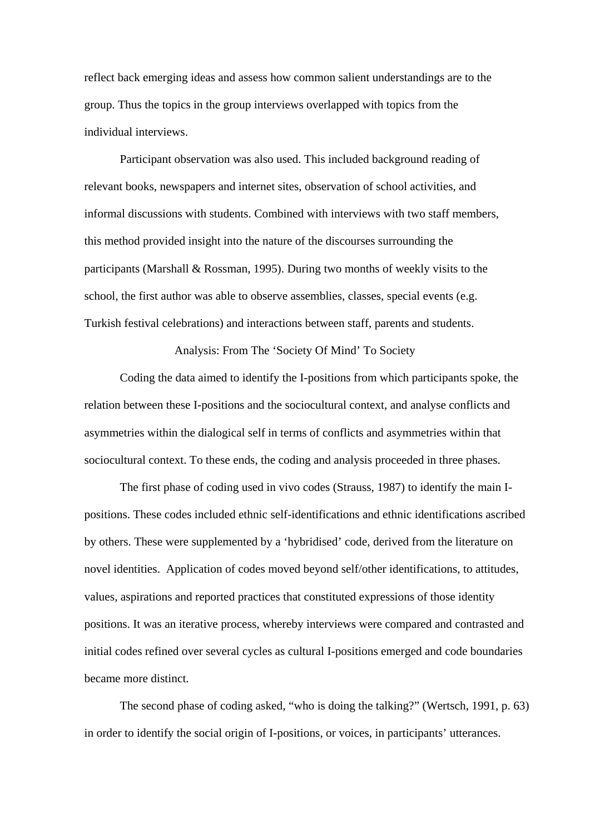reflect back emerging ideas and assess how common salient understandings are to the group. Thus the topics in the group interviews overlapped with topics from the individual interviews.

Participant observation was also used. This included background reading of relevant books, newspapers and internet sites, observation of school activities, and informal discussions with students. Combined with interviews with two staff members, this method provided insight into the nature of the discourses surrounding the participants (Marshall & Rossman, 1995). During two months of weekly visits to the school, the first author was able to observe assemblies, classes, special events (e.g. Turkish festival celebrations) and interactions between staff, parents and students.

Analysis: From The 'Society Of Mind' To Society

Coding the data aimed to identify the I-positions from which participants spoke, the relation between these I-positions and the sociocultural context, and analyse conflicts and asymmetries within the dialogical self in terms of conflicts and asymmetries within that sociocultural context. To these ends, the coding and analysis proceeded in three phases.

The first phase of coding used in vivo codes (Strauss, 1987) to identify the main Ipositions. These codes included ethnic self-identifications and ethnic identifications ascribed by others. These were supplemented by a 'hybridised' code, derived from the literature on novel identities. Application of codes moved beyond self/other identifications, to attitudes, values, aspirations and reported practices that constituted expressions of those identity positions. It was an iterative process, whereby interviews were compared and contrasted and initial codes refined over several cycles as cultural I-positions emerged and code boundaries became more distinct.

The second phase of coding asked, "who is doing the talking?" (Wertsch, 1991, p. 63) in order to identify the social origin of I-positions, or voices, in participants' utterances.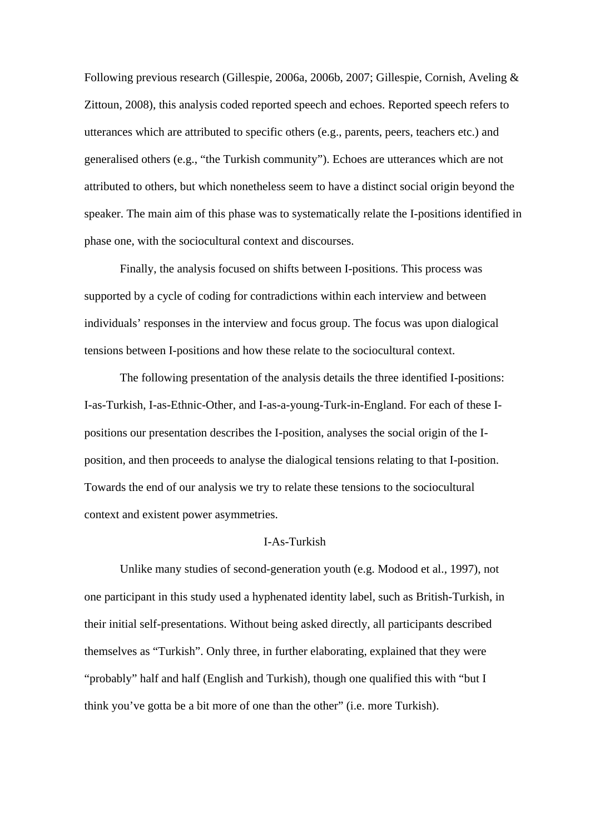Following previous research (Gillespie, 2006a, 2006b, 2007; Gillespie, Cornish, Aveling & Zittoun, 2008), this analysis coded reported speech and echoes. Reported speech refers to utterances which are attributed to specific others (e.g., parents, peers, teachers etc.) and generalised others (e.g., "the Turkish community"). Echoes are utterances which are not attributed to others, but which nonetheless seem to have a distinct social origin beyond the speaker. The main aim of this phase was to systematically relate the I-positions identified in phase one, with the sociocultural context and discourses.

Finally, the analysis focused on shifts between I-positions. This process was supported by a cycle of coding for contradictions within each interview and between individuals' responses in the interview and focus group. The focus was upon dialogical tensions between I-positions and how these relate to the sociocultural context.

The following presentation of the analysis details the three identified I-positions: I-as-Turkish, I-as-Ethnic-Other, and I-as-a-young-Turk-in-England. For each of these Ipositions our presentation describes the I-position, analyses the social origin of the Iposition, and then proceeds to analyse the dialogical tensions relating to that I-position. Towards the end of our analysis we try to relate these tensions to the sociocultural context and existent power asymmetries.

#### I-As-Turkish

Unlike many studies of second-generation youth (e.g. Modood et al., 1997), not one participant in this study used a hyphenated identity label, such as British-Turkish, in their initial self-presentations. Without being asked directly, all participants described themselves as "Turkish". Only three, in further elaborating, explained that they were "probably" half and half (English and Turkish), though one qualified this with "but I think you've gotta be a bit more of one than the other" (i.e. more Turkish).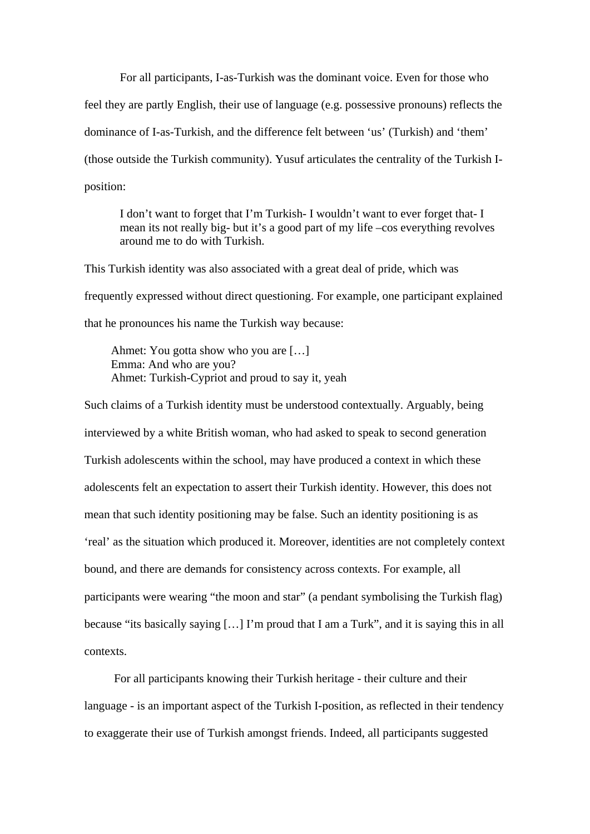For all participants, I-as-Turkish was the dominant voice. Even for those who feel they are partly English, their use of language (e.g. possessive pronouns) reflects the dominance of I-as-Turkish, and the difference felt between 'us' (Turkish) and 'them' (those outside the Turkish community). Yusuf articulates the centrality of the Turkish Iposition:

I don't want to forget that I'm Turkish- I wouldn't want to ever forget that- I mean its not really big- but it's a good part of my life –cos everything revolves around me to do with Turkish.

This Turkish identity was also associated with a great deal of pride, which was frequently expressed without direct questioning. For example, one participant explained that he pronounces his name the Turkish way because:

Ahmet: You gotta show who you are […] Emma: And who are you? Ahmet: Turkish-Cypriot and proud to say it, yeah

Such claims of a Turkish identity must be understood contextually. Arguably, being interviewed by a white British woman, who had asked to speak to second generation Turkish adolescents within the school, may have produced a context in which these adolescents felt an expectation to assert their Turkish identity. However, this does not mean that such identity positioning may be false. Such an identity positioning is as 'real' as the situation which produced it. Moreover, identities are not completely context bound, and there are demands for consistency across contexts. For example, all participants were wearing "the moon and star" (a pendant symbolising the Turkish flag) because "its basically saying […] I'm proud that I am a Turk", and it is saying this in all contexts.

 For all participants knowing their Turkish heritage - their culture and their language - is an important aspect of the Turkish I-position, as reflected in their tendency to exaggerate their use of Turkish amongst friends. Indeed, all participants suggested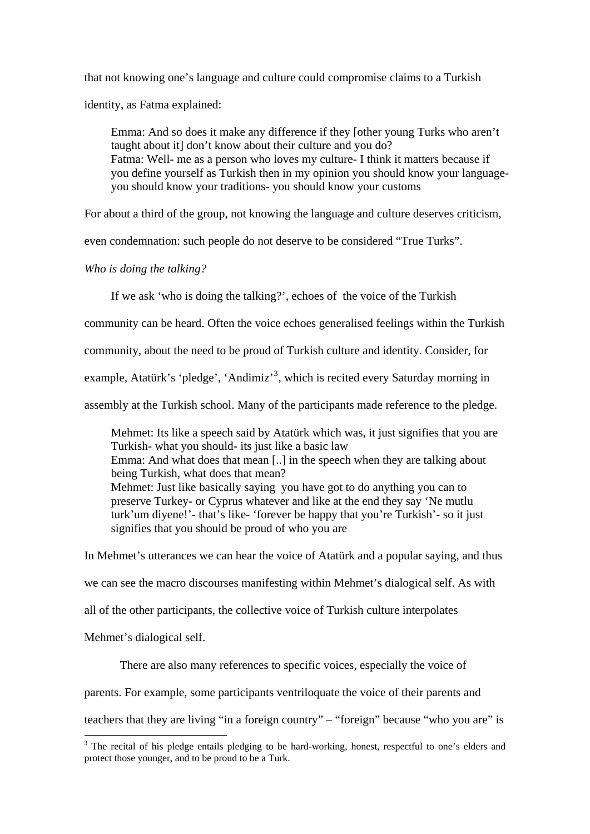that not knowing one's language and culture could compromise claims to a Turkish identity, as Fatma explained:

Emma: And so does it make any difference if they [other young Turks who aren't taught about it] don't know about their culture and you do? Fatma: Well- me as a person who loves my culture- I think it matters because if you define yourself as Turkish then in my opinion you should know your languageyou should know your traditions- you should know your customs

For about a third of the group, not knowing the language and culture deserves criticism,

even condemnation: such people do not deserve to be considered "True Turks".

*Who is doing the talking?* 

<u>.</u>

If we ask 'who is doing the talking?', echoes of the voice of the Turkish

community can be heard. Often the voice echoes generalised feelings within the Turkish

community, about the need to be proud of Turkish culture and identity. Consider, for

example, Atatürk's 'pledge', 'Andimiz'<sup>[3](#page-3-1)</sup>, which is recited every Saturday morning in

assembly at the Turkish school. Many of the participants made reference to the pledge.

Mehmet: Its like a speech said by Atatürk which was, it just signifies that you are Turkish- what you should- its just like a basic law Emma: And what does that mean [..] in the speech when they are talking about being Turkish, what does that mean? Mehmet: Just like basically saying you have got to do anything you can to preserve Turkey- or Cyprus whatever and like at the end they say 'Ne mutlu turk'um diyene!'- that's like- 'forever be happy that you're Turkish'- so it just signifies that you should be proud of who you are

In Mehmet's utterances we can hear the voice of Atatürk and a popular saying, and thus we can see the macro discourses manifesting within Mehmet's dialogical self. As with all of the other participants, the collective voice of Turkish culture interpolates Mehmet's dialogical self.

There are also many references to specific voices, especially the voice of parents. For example, some participants ventriloquate the voice of their parents and teachers that they are living "in a foreign country" – "foreign" because "who you are" is

<sup>&</sup>lt;sup>3</sup> The recital of his pledge entails pledging to be hard-working, honest, respectful to one's elders and protect those younger, and to be proud to be a Turk.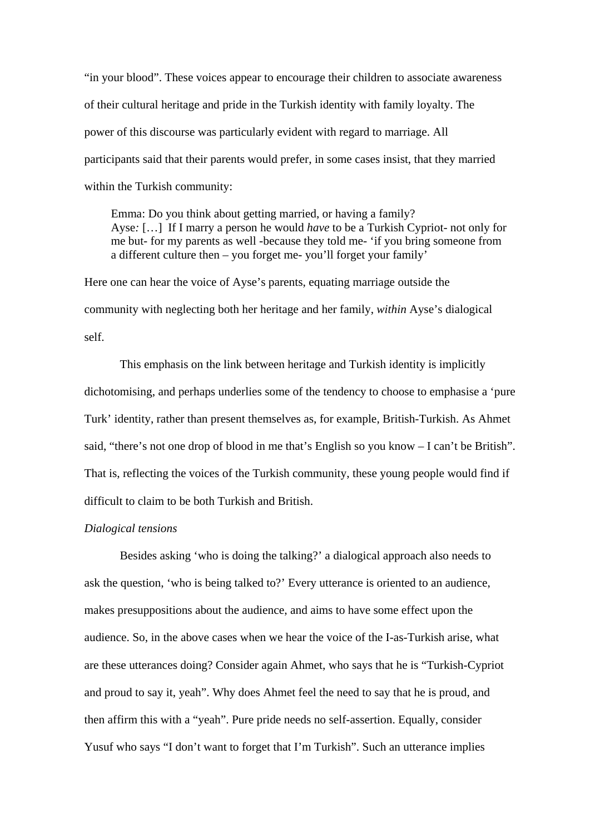"in your blood". These voices appear to encourage their children to associate awareness of their cultural heritage and pride in the Turkish identity with family loyalty. The power of this discourse was particularly evident with regard to marriage. All participants said that their parents would prefer, in some cases insist, that they married within the Turkish community:

Emma: Do you think about getting married, or having a family? Ayse*:* […] If I marry a person he would *have* to be a Turkish Cypriot- not only for me but- for my parents as well -because they told me- 'if you bring someone from a different culture then – you forget me- you'll forget your family'

Here one can hear the voice of Ayse's parents, equating marriage outside the community with neglecting both her heritage and her family, *within* Ayse's dialogical self.

This emphasis on the link between heritage and Turkish identity is implicitly dichotomising, and perhaps underlies some of the tendency to choose to emphasise a 'pure Turk' identity, rather than present themselves as, for example, British-Turkish. As Ahmet said, "there's not one drop of blood in me that's English so you know – I can't be British". That is, reflecting the voices of the Turkish community, these young people would find if difficult to claim to be both Turkish and British.

#### *Dialogical tensions*

Besides asking 'who is doing the talking?' a dialogical approach also needs to ask the question, 'who is being talked to?' Every utterance is oriented to an audience, makes presuppositions about the audience, and aims to have some effect upon the audience. So, in the above cases when we hear the voice of the I-as-Turkish arise, what are these utterances doing? Consider again Ahmet, who says that he is "Turkish-Cypriot and proud to say it, yeah". Why does Ahmet feel the need to say that he is proud, and then affirm this with a "yeah". Pure pride needs no self-assertion. Equally, consider Yusuf who says "I don't want to forget that I'm Turkish". Such an utterance implies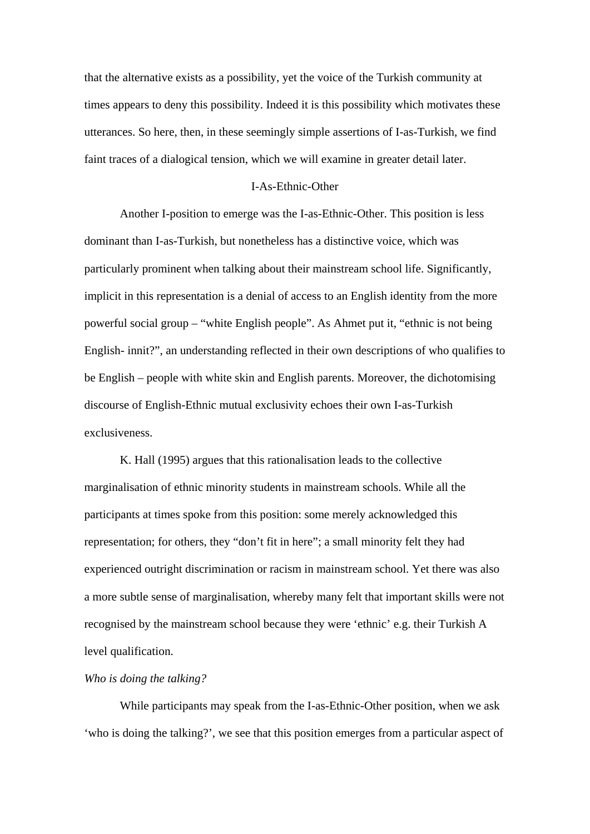that the alternative exists as a possibility, yet the voice of the Turkish community at times appears to deny this possibility. Indeed it is this possibility which motivates these utterances. So here, then, in these seemingly simple assertions of I-as-Turkish, we find faint traces of a dialogical tension, which we will examine in greater detail later.

#### I-As-Ethnic-Other

Another I-position to emerge was the I-as-Ethnic-Other. This position is less dominant than I-as-Turkish, but nonetheless has a distinctive voice, which was particularly prominent when talking about their mainstream school life. Significantly, implicit in this representation is a denial of access to an English identity from the more powerful social group – "white English people". As Ahmet put it, "ethnic is not being English- innit?", an understanding reflected in their own descriptions of who qualifies to be English – people with white skin and English parents. Moreover, the dichotomising discourse of English-Ethnic mutual exclusivity echoes their own I-as-Turkish exclusiveness.

K. Hall (1995) argues that this rationalisation leads to the collective marginalisation of ethnic minority students in mainstream schools. While all the participants at times spoke from this position: some merely acknowledged this representation; for others, they "don't fit in here"; a small minority felt they had experienced outright discrimination or racism in mainstream school. Yet there was also a more subtle sense of marginalisation, whereby many felt that important skills were not recognised by the mainstream school because they were 'ethnic' e.g. their Turkish A level qualification.

#### *Who is doing the talking?*

While participants may speak from the I-as-Ethnic-Other position, when we ask 'who is doing the talking?', we see that this position emerges from a particular aspect of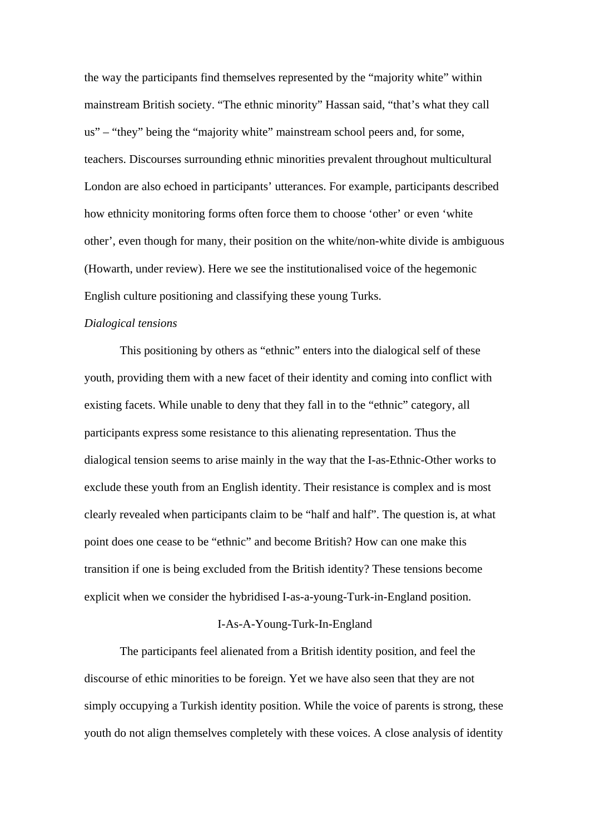the way the participants find themselves represented by the "majority white" within mainstream British society. "The ethnic minority" Hassan said, "that's what they call us" – "they" being the "majority white" mainstream school peers and, for some, teachers. Discourses surrounding ethnic minorities prevalent throughout multicultural London are also echoed in participants' utterances. For example, participants described how ethnicity monitoring forms often force them to choose 'other' or even 'white other', even though for many, their position on the white/non-white divide is ambiguous (Howarth, under review). Here we see the institutionalised voice of the hegemonic English culture positioning and classifying these young Turks.

#### *Dialogical tensions*

This positioning by others as "ethnic" enters into the dialogical self of these youth, providing them with a new facet of their identity and coming into conflict with existing facets. While unable to deny that they fall in to the "ethnic" category, all participants express some resistance to this alienating representation. Thus the dialogical tension seems to arise mainly in the way that the I-as-Ethnic-Other works to exclude these youth from an English identity. Their resistance is complex and is most clearly revealed when participants claim to be "half and half". The question is, at what point does one cease to be "ethnic" and become British? How can one make this transition if one is being excluded from the British identity? These tensions become explicit when we consider the hybridised I-as-a-young-Turk-in-England position.

#### I-As-A-Young-Turk-In-England

The participants feel alienated from a British identity position, and feel the discourse of ethic minorities to be foreign. Yet we have also seen that they are not simply occupying a Turkish identity position. While the voice of parents is strong, these youth do not align themselves completely with these voices. A close analysis of identity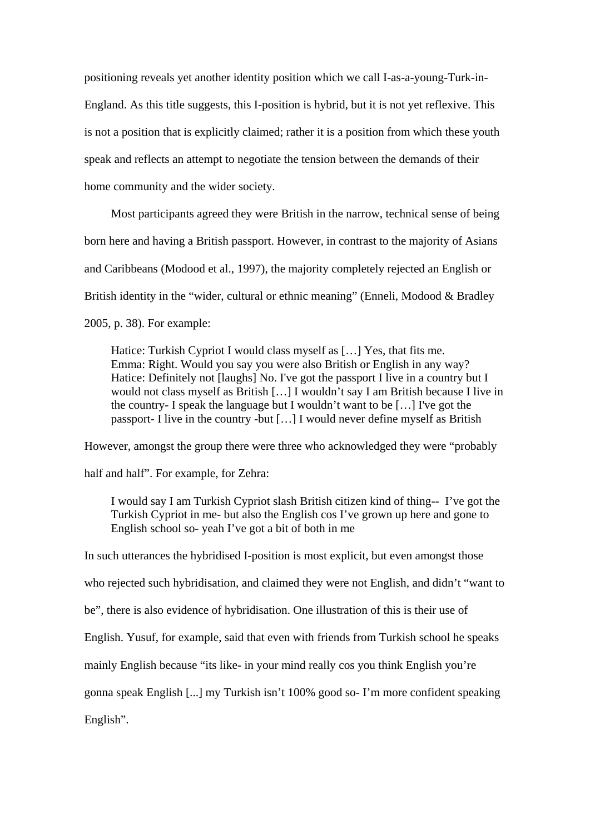positioning reveals yet another identity position which we call I-as-a-young-Turk-in-England. As this title suggests, this I-position is hybrid, but it is not yet reflexive. This is not a position that is explicitly claimed; rather it is a position from which these youth speak and reflects an attempt to negotiate the tension between the demands of their home community and the wider society.

Most participants agreed they were British in the narrow, technical sense of being born here and having a British passport. However, in contrast to the majority of Asians and Caribbeans (Modood et al., 1997), the majority completely rejected an English or British identity in the "wider, cultural or ethnic meaning" (Enneli, Modood & Bradley 2005, p. 38). For example:

Hatice: Turkish Cypriot I would class myself as […] Yes, that fits me. Emma: Right. Would you say you were also British or English in any way? Hatice: Definitely not [laughs] No. I've got the passport I live in a country but I would not class myself as British […] I wouldn't say I am British because I live in the country- I speak the language but I wouldn't want to be […] I've got the passport- I live in the country -but […] I would never define myself as British

However, amongst the group there were three who acknowledged they were "probably

half and half". For example, for Zehra:

I would say I am Turkish Cypriot slash British citizen kind of thing-- I've got the Turkish Cypriot in me- but also the English cos I've grown up here and gone to English school so- yeah I've got a bit of both in me

In such utterances the hybridised I-position is most explicit, but even amongst those who rejected such hybridisation, and claimed they were not English, and didn't "want to be", there is also evidence of hybridisation. One illustration of this is their use of English. Yusuf, for example, said that even with friends from Turkish school he speaks mainly English because "its like- in your mind really cos you think English you're gonna speak English [...] my Turkish isn't 100% good so- I'm more confident speaking English".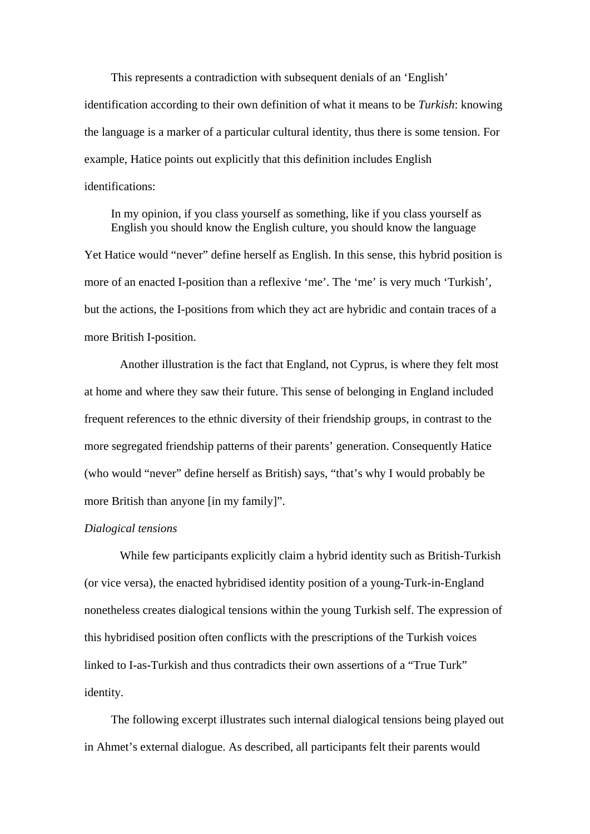This represents a contradiction with subsequent denials of an 'English' identification according to their own definition of what it means to be *Turkish*: knowing the language is a marker of a particular cultural identity, thus there is some tension. For example, Hatice points out explicitly that this definition includes English identifications:

In my opinion, if you class yourself as something, like if you class yourself as English you should know the English culture, you should know the language Yet Hatice would "never" define herself as English. In this sense, this hybrid position is more of an enacted I-position than a reflexive 'me'. The 'me' is very much 'Turkish', but the actions, the I-positions from which they act are hybridic and contain traces of a more British I-position.

Another illustration is the fact that England, not Cyprus, is where they felt most at home and where they saw their future. This sense of belonging in England included frequent references to the ethnic diversity of their friendship groups, in contrast to the more segregated friendship patterns of their parents' generation. Consequently Hatice (who would "never" define herself as British) says, "that's why I would probably be more British than anyone [in my family]".

#### *Dialogical tensions*

While few participants explicitly claim a hybrid identity such as British-Turkish (or vice versa), the enacted hybridised identity position of a young-Turk-in-England nonetheless creates dialogical tensions within the young Turkish self. The expression of this hybridised position often conflicts with the prescriptions of the Turkish voices linked to I-as-Turkish and thus contradicts their own assertions of a "True Turk" identity.

The following excerpt illustrates such internal dialogical tensions being played out in Ahmet's external dialogue. As described, all participants felt their parents would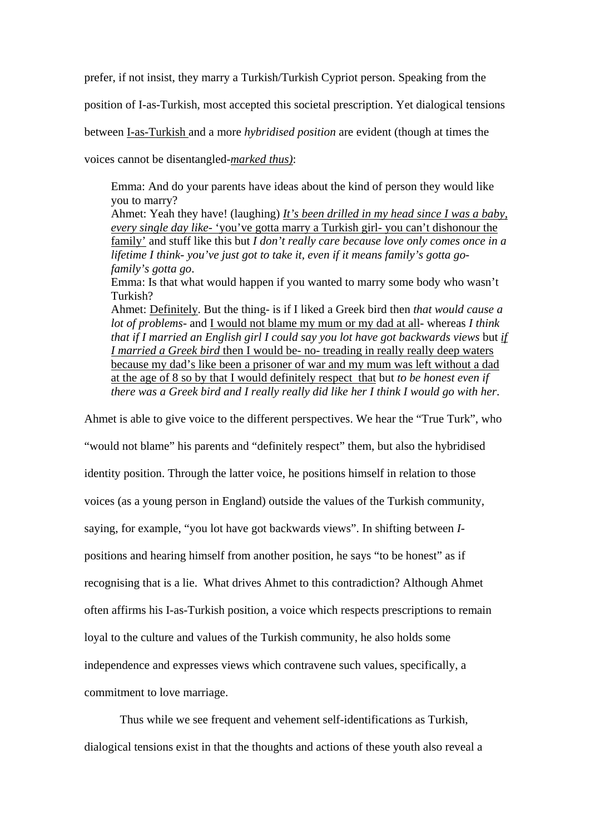prefer, if not insist, they marry a Turkish/Turkish Cypriot person. Speaking from the

position of I-as-Turkish, most accepted this societal prescription. Yet dialogical tensions

between I-as-Turkish and a more *hybridised position* are evident (though at times the

voices cannot be disentangled-*marked thus)*:

Emma: And do your parents have ideas about the kind of person they would like you to marry?

Ahmet: Yeah they have! (laughing) *It's been drilled in my head since I was a baby, every single day like-* 'you've gotta marry a Turkish girl- you can't dishonour the family' and stuff like this but *I don't really care because love only comes once in a lifetime I think- you've just got to take it, even if it means family's gotta gofamily's gotta go*.

Emma: Is that what would happen if you wanted to marry some body who wasn't Turkish?

Ahmet: Definitely. But the thing- is if I liked a Greek bird then *that would cause a lot of problems*- and I would not blame my mum or my dad at all- whereas *I think that if I married an English girl I could say you lot have got backwards views* but *if I married a Greek bird* then I would be- no- treading in really really deep waters because my dad's like been a prisoner of war and my mum was left without a dad at the age of 8 so by that I would definitely respect that but *to be honest even if there was a Greek bird and I really really did like her I think I would go with her*.

Ahmet is able to give voice to the different perspectives. We hear the "True Turk", who

"would not blame" his parents and "definitely respect" them, but also the hybridised

identity position. Through the latter voice, he positions himself in relation to those

voices (as a young person in England) outside the values of the Turkish community,

saying, for example, "you lot have got backwards views". In shifting between *I-*

positions and hearing himself from another position, he says "to be honest" as if

recognising that is a lie. What drives Ahmet to this contradiction? Although Ahmet

often affirms his I-as-Turkish position, a voice which respects prescriptions to remain

loyal to the culture and values of the Turkish community, he also holds some

independence and expresses views which contravene such values, specifically, a

commitment to love marriage.

Thus while we see frequent and vehement self-identifications as Turkish, dialogical tensions exist in that the thoughts and actions of these youth also reveal a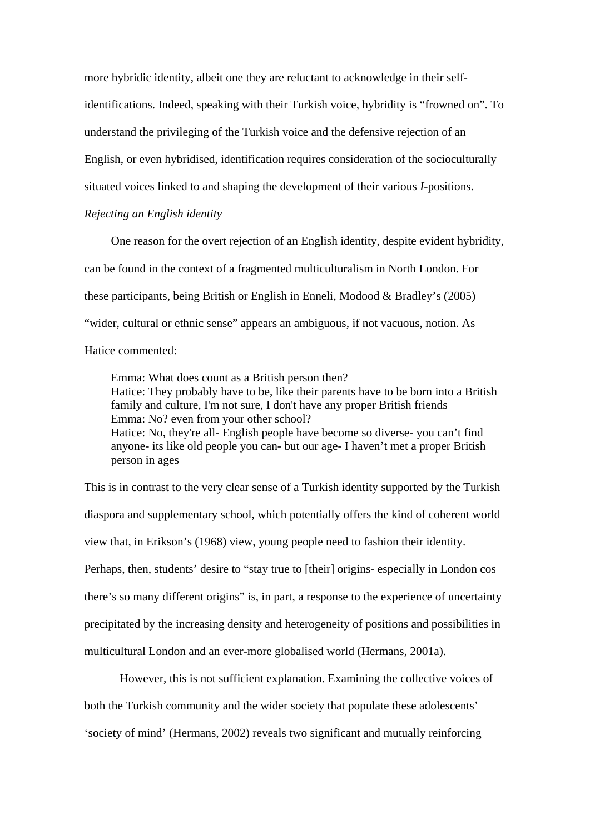more hybridic identity, albeit one they are reluctant to acknowledge in their selfidentifications. Indeed, speaking with their Turkish voice, hybridity is "frowned on". To understand the privileging of the Turkish voice and the defensive rejection of an English, or even hybridised, identification requires consideration of the socioculturally situated voices linked to and shaping the development of their various *I*-positions.

#### *Rejecting an English identity*

One reason for the overt rejection of an English identity, despite evident hybridity, can be found in the context of a fragmented multiculturalism in North London. For these participants, being British or English in Enneli, Modood & Bradley's (2005) "wider, cultural or ethnic sense" appears an ambiguous, if not vacuous, notion. As Hatice commented:

Emma: What does count as a British person then? Hatice: They probably have to be, like their parents have to be born into a British family and culture, I'm not sure, I don't have any proper British friends Emma: No? even from your other school? Hatice: No, they're all- English people have become so diverse- you can't find anyone- its like old people you can- but our age- I haven't met a proper British person in ages

This is in contrast to the very clear sense of a Turkish identity supported by the Turkish diaspora and supplementary school, which potentially offers the kind of coherent world view that, in Erikson's (1968) view, young people need to fashion their identity. Perhaps, then, students' desire to "stay true to [their] origins- especially in London cos there's so many different origins" is, in part, a response to the experience of uncertainty precipitated by the increasing density and heterogeneity of positions and possibilities in multicultural London and an ever-more globalised world (Hermans, 2001a).

However, this is not sufficient explanation. Examining the collective voices of

both the Turkish community and the wider society that populate these adolescents'

'society of mind' (Hermans, 2002) reveals two significant and mutually reinforcing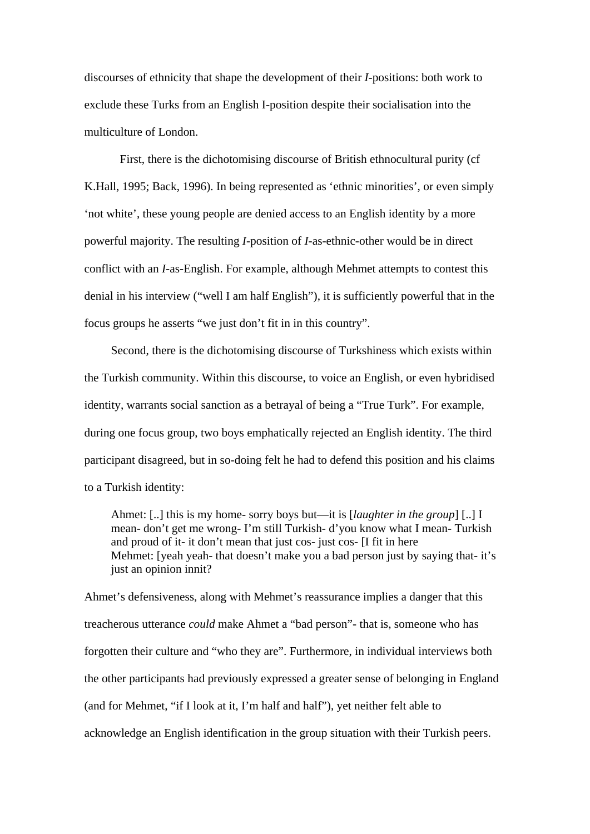discourses of ethnicity that shape the development of their *I*-positions: both work to exclude these Turks from an English I-position despite their socialisation into the multiculture of London.

First, there is the dichotomising discourse of British ethnocultural purity (cf K.Hall, 1995; Back, 1996). In being represented as 'ethnic minorities', or even simply 'not white', these young people are denied access to an English identity by a more powerful majority. The resulting *I-*position of *I-*as-ethnic-other would be in direct conflict with an *I-*as-English. For example, although Mehmet attempts to contest this denial in his interview ("well I am half English"), it is sufficiently powerful that in the focus groups he asserts "we just don't fit in in this country".

Second, there is the dichotomising discourse of Turkshiness which exists within the Turkish community. Within this discourse, to voice an English, or even hybridised identity, warrants social sanction as a betrayal of being a "True Turk". For example, during one focus group, two boys emphatically rejected an English identity. The third participant disagreed, but in so-doing felt he had to defend this position and his claims to a Turkish identity:

Ahmet: [..] this is my home- sorry boys but—it is [*laughter in the group*] [..] I mean- don't get me wrong- I'm still Turkish- d'you know what I mean- Turkish and proud of it- it don't mean that just cos- just cos- [I fit in here Mehmet: [yeah yeah- that doesn't make you a bad person just by saying that- it's just an opinion innit?

Ahmet's defensiveness, along with Mehmet's reassurance implies a danger that this treacherous utterance *could* make Ahmet a "bad person"- that is, someone who has forgotten their culture and "who they are". Furthermore, in individual interviews both the other participants had previously expressed a greater sense of belonging in England (and for Mehmet, "if I look at it, I'm half and half"), yet neither felt able to acknowledge an English identification in the group situation with their Turkish peers.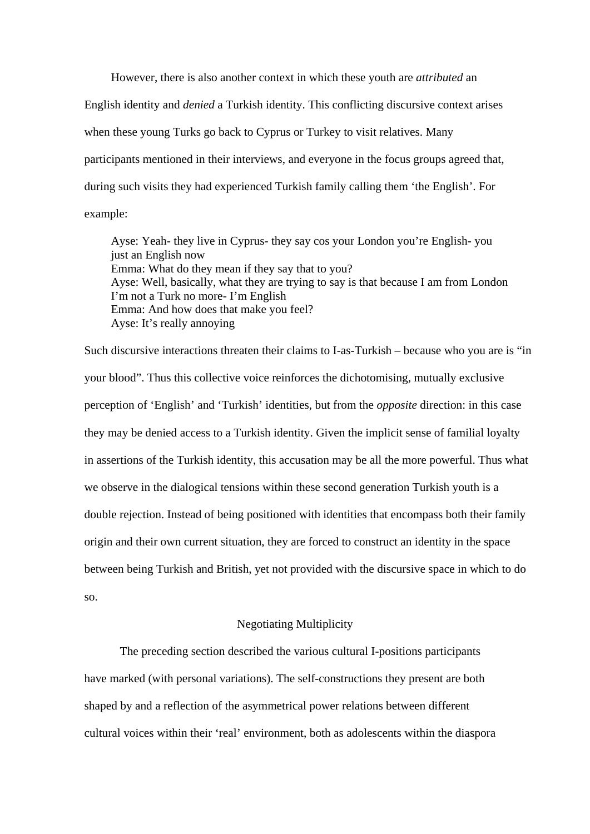However, there is also another context in which these youth are *attributed* an English identity and *denied* a Turkish identity. This conflicting discursive context arises when these young Turks go back to Cyprus or Turkey to visit relatives. Many participants mentioned in their interviews, and everyone in the focus groups agreed that, during such visits they had experienced Turkish family calling them 'the English'. For example:

Ayse: Yeah- they live in Cyprus- they say cos your London you're English- you just an English now Emma: What do they mean if they say that to you? Ayse: Well, basically, what they are trying to say is that because I am from London I'm not a Turk no more- I'm English Emma: And how does that make you feel? Ayse: It's really annoying

Such discursive interactions threaten their claims to I-as-Turkish – because who you are is "in your blood". Thus this collective voice reinforces the dichotomising, mutually exclusive perception of 'English' and 'Turkish' identities, but from the *opposite* direction: in this case they may be denied access to a Turkish identity. Given the implicit sense of familial loyalty in assertions of the Turkish identity, this accusation may be all the more powerful. Thus what we observe in the dialogical tensions within these second generation Turkish youth is a double rejection. Instead of being positioned with identities that encompass both their family origin and their own current situation, they are forced to construct an identity in the space between being Turkish and British, yet not provided with the discursive space in which to do so.

#### Negotiating Multiplicity

The preceding section described the various cultural I-positions participants have marked (with personal variations). The self-constructions they present are both shaped by and a reflection of the asymmetrical power relations between different cultural voices within their 'real' environment, both as adolescents within the diaspora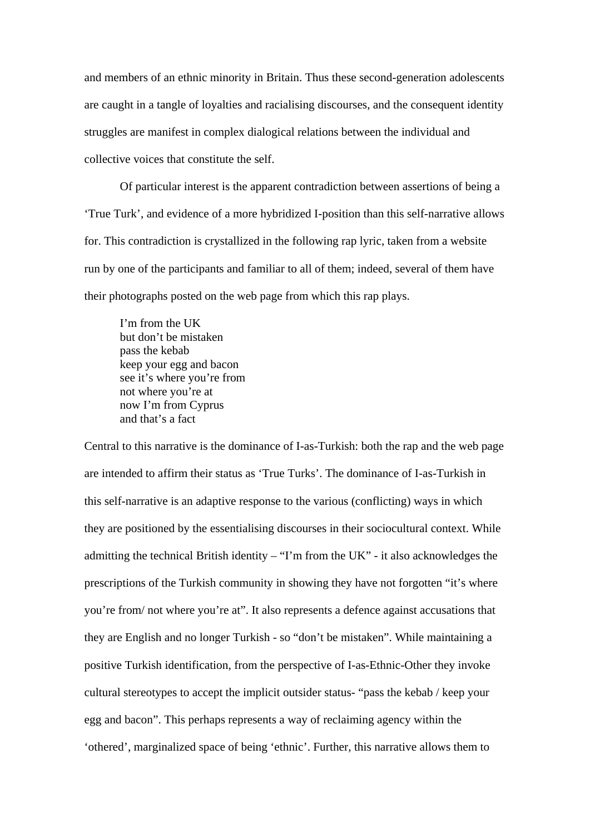and members of an ethnic minority in Britain. Thus these second-generation adolescents are caught in a tangle of loyalties and racialising discourses, and the consequent identity struggles are manifest in complex dialogical relations between the individual and collective voices that constitute the self.

Of particular interest is the apparent contradiction between assertions of being a 'True Turk', and evidence of a more hybridized I-position than this self-narrative allows for. This contradiction is crystallized in the following rap lyric, taken from a website run by one of the participants and familiar to all of them; indeed, several of them have their photographs posted on the web page from which this rap plays.

I'm from the UK but don't be mistaken pass the kebab keep your egg and bacon see it's where you're from not where you're at now I'm from Cyprus and that's a fact

Central to this narrative is the dominance of I-as-Turkish: both the rap and the web page are intended to affirm their status as 'True Turks'. The dominance of I-as-Turkish in this self-narrative is an adaptive response to the various (conflicting) ways in which they are positioned by the essentialising discourses in their sociocultural context. While admitting the technical British identity  $-$  "I'm from the UK" - it also acknowledges the prescriptions of the Turkish community in showing they have not forgotten "it's where you're from/ not where you're at". It also represents a defence against accusations that they are English and no longer Turkish - so "don't be mistaken". While maintaining a positive Turkish identification, from the perspective of I-as-Ethnic-Other they invoke cultural stereotypes to accept the implicit outsider status- "pass the kebab / keep your egg and bacon". This perhaps represents a way of reclaiming agency within the 'othered', marginalized space of being 'ethnic'. Further, this narrative allows them to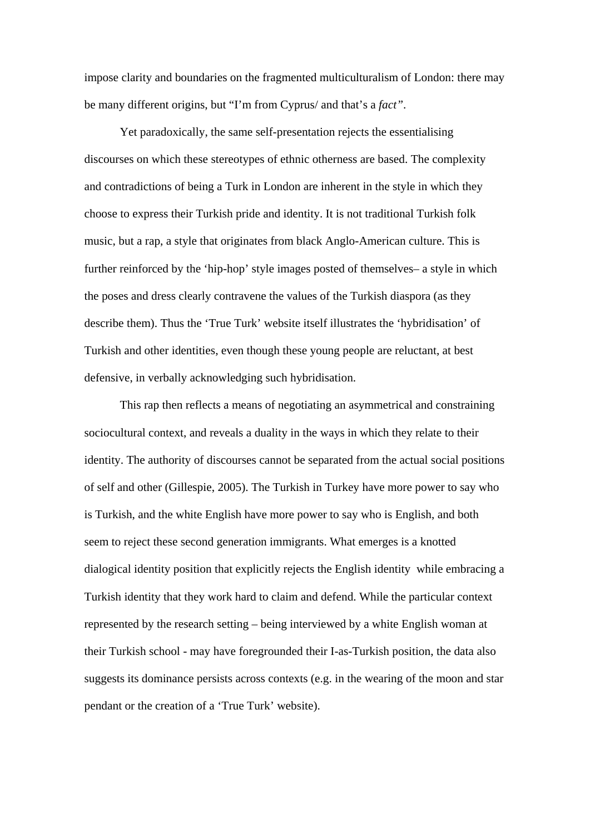impose clarity and boundaries on the fragmented multiculturalism of London: there may be many different origins, but "I'm from Cyprus/ and that's a *fact"*.

Yet paradoxically, the same self-presentation rejects the essentialising discourses on which these stereotypes of ethnic otherness are based. The complexity and contradictions of being a Turk in London are inherent in the style in which they choose to express their Turkish pride and identity. It is not traditional Turkish folk music, but a rap, a style that originates from black Anglo-American culture. This is further reinforced by the 'hip-hop' style images posted of themselves– a style in which the poses and dress clearly contravene the values of the Turkish diaspora (as they describe them). Thus the 'True Turk' website itself illustrates the 'hybridisation' of Turkish and other identities, even though these young people are reluctant, at best defensive, in verbally acknowledging such hybridisation.

This rap then reflects a means of negotiating an asymmetrical and constraining sociocultural context, and reveals a duality in the ways in which they relate to their identity. The authority of discourses cannot be separated from the actual social positions of self and other (Gillespie, 2005). The Turkish in Turkey have more power to say who is Turkish, and the white English have more power to say who is English, and both seem to reject these second generation immigrants. What emerges is a knotted dialogical identity position that explicitly rejects the English identity while embracing a Turkish identity that they work hard to claim and defend. While the particular context represented by the research setting – being interviewed by a white English woman at their Turkish school - may have foregrounded their I-as-Turkish position, the data also suggests its dominance persists across contexts (e.g. in the wearing of the moon and star pendant or the creation of a 'True Turk' website).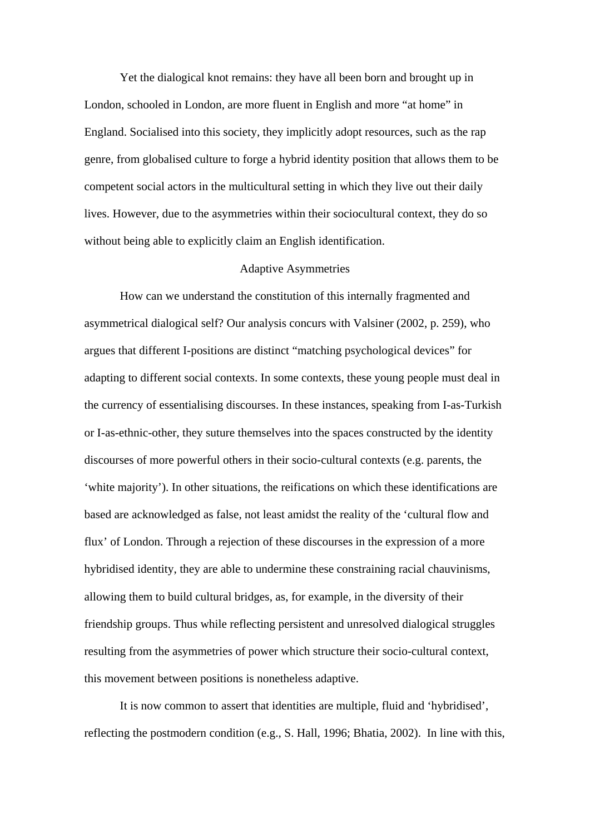Yet the dialogical knot remains: they have all been born and brought up in London, schooled in London, are more fluent in English and more "at home" in England. Socialised into this society, they implicitly adopt resources, such as the rap genre, from globalised culture to forge a hybrid identity position that allows them to be competent social actors in the multicultural setting in which they live out their daily lives. However, due to the asymmetries within their sociocultural context, they do so without being able to explicitly claim an English identification.

#### Adaptive Asymmetries

How can we understand the constitution of this internally fragmented and asymmetrical dialogical self? Our analysis concurs with Valsiner (2002, p. 259), who argues that different I-positions are distinct "matching psychological devices" for adapting to different social contexts. In some contexts, these young people must deal in the currency of essentialising discourses. In these instances, speaking from I-as-Turkish or I-as-ethnic-other, they suture themselves into the spaces constructed by the identity discourses of more powerful others in their socio-cultural contexts (e.g. parents, the 'white majority'). In other situations, the reifications on which these identifications are based are acknowledged as false, not least amidst the reality of the 'cultural flow and flux' of London. Through a rejection of these discourses in the expression of a more hybridised identity, they are able to undermine these constraining racial chauvinisms, allowing them to build cultural bridges, as, for example, in the diversity of their friendship groups. Thus while reflecting persistent and unresolved dialogical struggles resulting from the asymmetries of power which structure their socio-cultural context, this movement between positions is nonetheless adaptive.

It is now common to assert that identities are multiple, fluid and 'hybridised', reflecting the postmodern condition (e.g., S. Hall, 1996; Bhatia, 2002). In line with this,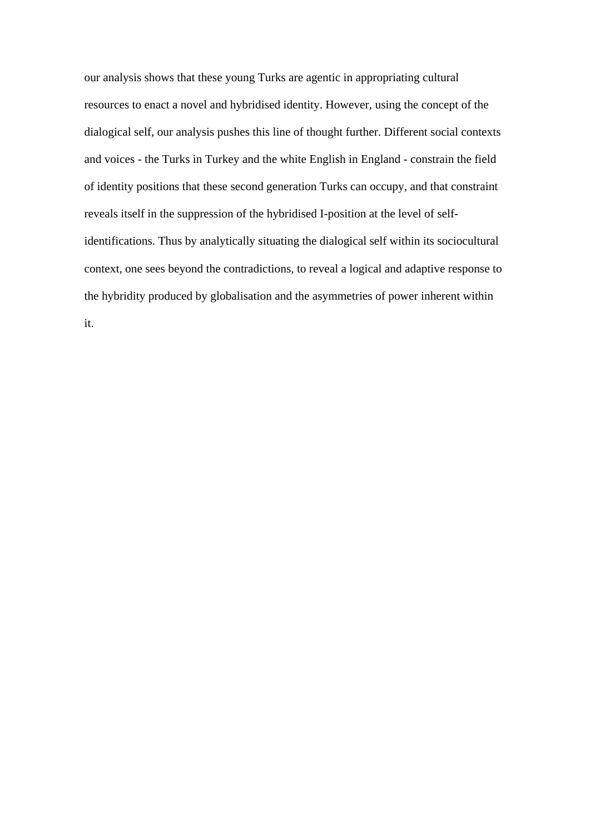our analysis shows that these young Turks are agentic in appropriating cultural resources to enact a novel and hybridised identity. However, using the concept of the dialogical self, our analysis pushes this line of thought further. Different social contexts and voices - the Turks in Turkey and the white English in England - constrain the field of identity positions that these second generation Turks can occupy, and that constraint reveals itself in the suppression of the hybridised I-position at the level of selfidentifications. Thus by analytically situating the dialogical self within its sociocultural context, one sees beyond the contradictions, to reveal a logical and adaptive response to the hybridity produced by globalisation and the asymmetries of power inherent within it.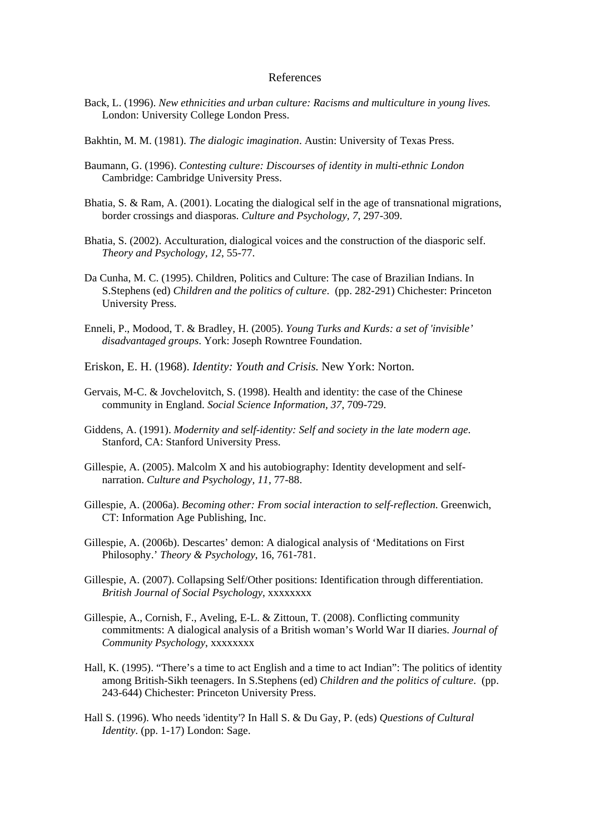#### References

- Back, L. (1996). *New ethnicities and urban culture: Racisms and multiculture in young lives.* London: University College London Press.
- Bakhtin, M. M. (1981). *The dialogic imagination*. Austin: University of Texas Press.
- Baumann, G. (1996). *Contesting culture: Discourses of identity in multi-ethnic London*  Cambridge: Cambridge University Press.
- Bhatia, S. & Ram, A. (2001). Locating the dialogical self in the age of transnational migrations, border crossings and diasporas. *Culture and Psychology, 7*, 297-309.
- Bhatia, S. (2002). Acculturation, dialogical voices and the construction of the diasporic self. *Theory and Psychology, 12*, 55-77.
- Da Cunha, M. C. (1995). Children, Politics and Culture: The case of Brazilian Indians. In S.Stephens (ed) *Children and the politics of culture*. (pp. 282-291) Chichester: Princeton University Press.
- Enneli, P., Modood, T. & Bradley, H. (2005). *Young Turks and Kurds: a set of 'invisible' disadvantaged groups*. York: Joseph Rowntree Foundation.
- Eriskon, E. H. (1968). *Identity: Youth and Crisis.* New York: Norton.
- Gervais, M-C. & Jovchelovitch, S. (1998). Health and identity: the case of the Chinese community in England. *Social Science Information, 37*, 709-729.
- Giddens, A. (1991). *Modernity and self-identity: Self and society in the late modern age*. Stanford, CA: Stanford University Press.
- Gillespie, A. (2005). Malcolm X and his autobiography: Identity development and selfnarration. *Culture and Psychology, 11*, 77-88.
- Gillespie, A. (2006a). *Becoming other: From social interaction to self-reflection*. Greenwich, CT: Information Age Publishing, Inc.
- Gillespie, A. (2006b). Descartes' demon: A dialogical analysis of 'Meditations on First Philosophy.' *Theory & Psychology*, 16, 761-781.
- Gillespie, A. (2007). Collapsing Self/Other positions: Identification through differentiation. *British Journal of Social Psychology*, xxxxxxxx
- Gillespie, A., Cornish, F., Aveling, E-L. & Zittoun, T. (2008). Conflicting community commitments: A dialogical analysis of a British woman's World War II diaries. *Journal of Community Psychology*, xxxxxxxx
- Hall, K. (1995). "There's a time to act English and a time to act Indian": The politics of identity among British-Sikh teenagers. In S.Stephens (ed) *Children and the politics of culture*. (pp. 243-644) Chichester: Princeton University Press.
- Hall S. (1996). Who needs 'identity'? In Hall S. & Du Gay, P. (eds) *Questions of Cultural Identity*. (pp. 1-17) London: Sage.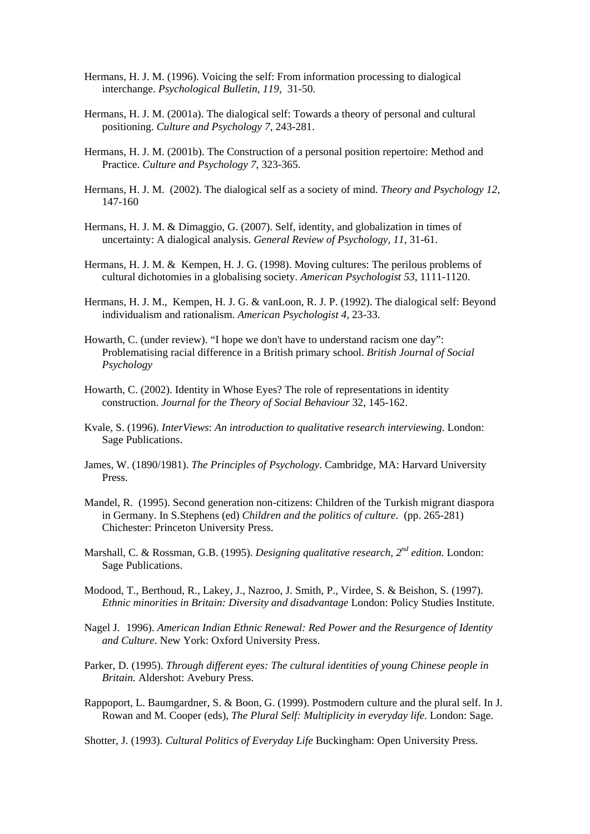- Hermans, H. J. M. (1996). Voicing the self: From information processing to dialogical interchange. *Psychological Bulletin, 119*, 31-50.
- Hermans, H. J. M. (2001a). The dialogical self: Towards a theory of personal and cultural positioning. *Culture and Psychology 7,* 243-281.
- Hermans, H. J. M. (2001b). The Construction of a personal position repertoire: Method and Practice. *Culture and Psychology 7*, 323-365.
- Hermans, H. J. M. (2002). The dialogical self as a society of mind. *Theory and Psychology 12*, 147-160
- Hermans, H. J. M. & Dimaggio, G. (2007). Self, identity, and globalization in times of uncertainty: A dialogical analysis. *General Review of Psychology, 11*, 31-61.
- Hermans, H. J. M. & Kempen, H. J. G. (1998). Moving cultures: The perilous problems of cultural dichotomies in a globalising society. *American Psychologist 53*, 1111-1120.
- Hermans, H. J. M., Kempen, H. J. G. & vanLoon, R. J. P. (1992). The dialogical self: Beyond individualism and rationalism. *American Psychologist 4,* 23-33.
- Howarth, C. (under review). "I hope we don't have to understand racism one day": Problematising racial difference in a British primary school. *British Journal of Social Psychology*
- Howarth, C. (2002). Identity in Whose Eyes? The role of representations in identity construction. *Journal for the Theory of Social Behaviour* 32, 145-162.
- Kvale, S. (1996). *InterViews*: *An introduction to qualitative research interviewing*. London: Sage Publications.
- James, W. (1890/1981). *The Principles of Psychology*. Cambridge, MA: Harvard University Press.
- Mandel, R. (1995). Second generation non-citizens: Children of the Turkish migrant diaspora in Germany. In S.Stephens (ed) *Children and the politics of culture*. (pp. 265-281) Chichester: Princeton University Press.
- Marshall, C. & Rossman, G.B. (1995). *Designing qualitative research, 2nd edition.* London: Sage Publications.
- Modood, T., Berthoud, R., Lakey, J., Nazroo, J. Smith, P., Virdee, S. & Beishon, S. (1997). *Ethnic minorities in Britain: Diversity and disadvantage* London: Policy Studies Institute.
- Nagel J. (1996). *American Indian Ethnic Renewal: Red Power and the Resurgence of Identity and Culture*. New York: Oxford University Press.
- Parker, D. (1995). *Through different eyes: The cultural identities of young Chinese people in Britain.* Aldershot: Avebury Press.
- Rappoport, L. Baumgardner, S. & Boon, G. (1999). Postmodern culture and the plural self. In J. Rowan and M. Cooper (eds), *The Plural Self: Multiplicity in everyday life.* London: Sage.
- Shotter, J. (1993). *Cultural Politics of Everyday Life* Buckingham: Open University Press.